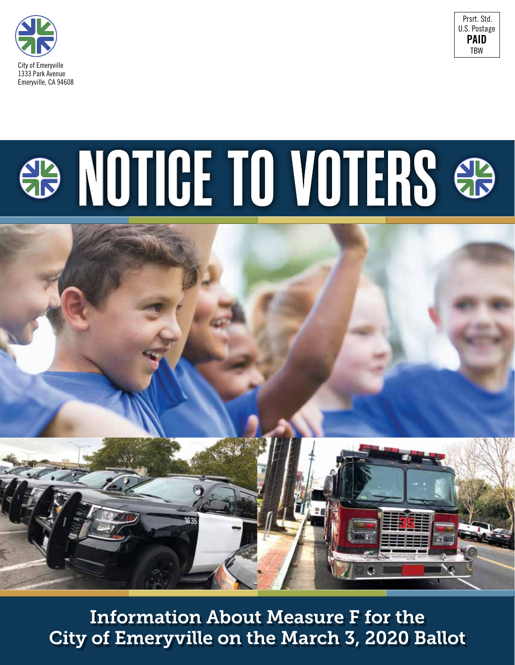



# **B NOTICE TO VOTERS &**



Information About Measure F for the City of Emeryville on the March 3, 2020 Ballot